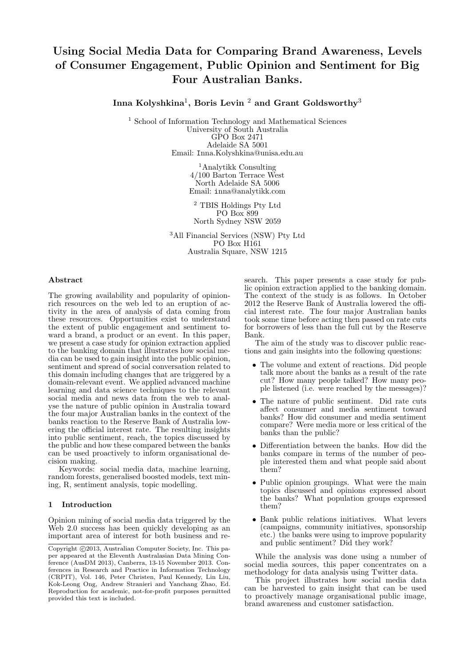# Using Social Media Data for Comparing Brand Awareness, Levels of Consumer Engagement, Public Opinion and Sentiment for Big Four Australian Banks.

Inna Kolyshkina $^1$ , Boris Levin  $^2$  and Grant Goldsworthy $^3$ 

<sup>1</sup> School of Information Technology and Mathematical Sciences University of South Australia GPO Box 2471 Adelaide SA 5001 Email: Inna.Kolyshkina@unisa.edu.au

> <sup>1</sup>Analytikk Consulting 4/100 Barton Terrace West North Adelaide SA 5006 Email: inna@analytikk.com

<sup>2</sup> TBIS Holdings Pty Ltd PO Box 899 North Sydney NSW 2059

<sup>3</sup>All Financial Services (NSW) Pty Ltd PO Box H161 Australia Square, NSW 1215

# Abstract

The growing availability and popularity of opinionrich resources on the web led to an eruption of activity in the area of analysis of data coming from these resources. Opportunities exist to understand the extent of public engagement and sentiment toward a brand, a product or an event. In this paper, we present a case study for opinion extraction applied to the banking domain that illustrates how social media can be used to gain insight into the public opinion, sentiment and spread of social conversation related to this domain including changes that are triggered by a domain-relevant event. We applied advanced machine learning and data science techniques to the relevant social media and news data from the web to analyse the nature of public opinion in Australia toward the four major Australian banks in the context of the banks reaction to the Reserve Bank of Australia lowering the official interest rate. The resulting insights into public sentiment, reach, the topics discussed by the public and how these compared between the banks can be used proactively to inform organisational decision making.

Keywords: social media data, machine learning, random forests, generalised boosted models, text mining, R, sentiment analysis, topic modelling.

## 1 Introduction

Opinion mining of social media data triggered by the Web 2.0 success has been quickly developing as an important area of interest for both business and research. This paper presents a case study for public opinion extraction applied to the banking domain. The context of the study is as follows. In October 2012 the Reserve Bank of Australia lowered the official interest rate. The four major Australian banks took some time before acting then passed on rate cuts for borrowers of less than the full cut by the Reserve Bank.

The aim of the study was to discover public reactions and gain insights into the following questions:

- The volume and extent of reactions. Did people talk more about the banks as a result of the rate cut? How many people talked? How many people listened (i.e. were reached by the messages)?
- The nature of public sentiment. Did rate cuts affect consumer and media sentiment toward banks? How did consumer and media sentiment compare? Were media more or less critical of the banks than the public?
- Differentiation between the banks. How did the banks compare in terms of the number of people interested them and what people said about them?
- Public opinion groupings. What were the main topics discussed and opinions expressed about the banks? What population groups expressed them?
- Bank public relations initiatives. What levers (campaigns, community initiatives, sponsorship etc.) the banks were using to improve popularity and public sentiment? Did they work?

While the analysis was done using a number of social media sources, this paper concentrates on a methodology for data analysis using Twitter data.

This project illustrates how social media data can be harvested to gain insight that can be used to proactively manage organisational public image, brand awareness and customer satisfaction.

 $\overline{\text{Copyright (C2013, Australian Computer Society, Inc. This pa-}}$ per appeared at the Eleventh Australasian Data Mining Conference (AusDM 2013), Canberra, 13-15 November 2013. Conferences in Research and Practice in Information Technology (CRPIT), Vol. 146, Peter Christen, Paul Kennedy, Lin Liu, Kok-Leong Ong, Andrew Stranieri and Yanchang Zhao, Ed. Reproduction for academic, not-for-profit purposes permitted provided this text is included.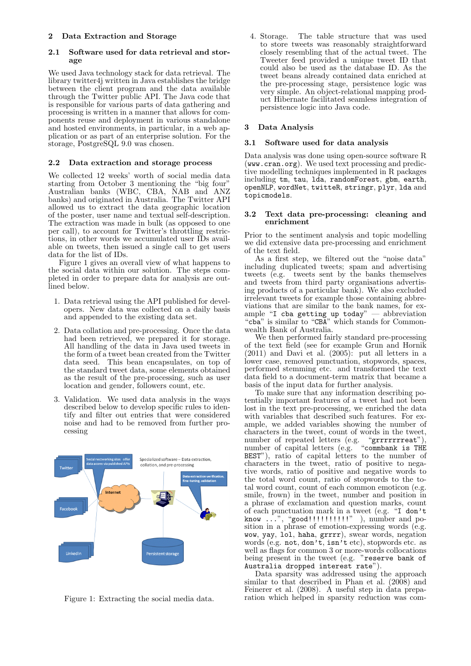## 2 Data Extraction and Storage

#### 2.1 Software used for data retrieval and storage

We used Java technology stack for data retrieval. The library twitter4j written in Java establishes the bridge between the client program and the data available through the Twitter public API. The Java code that is responsible for various parts of data gathering and processing is written in a manner that allows for components reuse and deployment in various standalone and hosted environments, in particular, in a web application or as part of an enterprise solution. For the storage, PostgreSQL 9.0 was chosen.

## 2.2 Data extraction and storage process

We collected 12 weeks' worth of social media data starting from October 3 mentioning the "big four" Australian banks (WBC, CBA, NAB and ANZ banks) and originated in Australia. The Twitter API allowed us to extract the data geographic location of the poster, user name and textual self-description. The extraction was made in bulk (as opposed to one per call), to account for Twitter's throttling restrictions, in other words we accumulated user IDs available on tweets, then issued a single call to get users data for the list of IDs.

Figure 1 gives an overall view of what happens to the social data within our solution. The steps completed in order to prepare data for analysis are outlined below.

- 1. Data retrieval using the API published for developers. New data was collected on a daily basis and appended to the existing data set.
- 2. Data collation and pre-processing. Once the data had been retrieved, we prepared it for storage. All handling of the data in Java used tweets in the form of a tweet bean created from the Twitter data seed. This bean encapsulates, on top of the standard tweet data, some elements obtained as the result of the pre-processing, such as user location and gender, followers count, etc.
- 3. Validation. We used data analysis in the ways described below to develop specific rules to identify and filter out entries that were considered noise and had to be removed from further processing



Figure 1: Extracting the social media data.

4. Storage. The table structure that was used to store tweets was reasonably straightforward closely resembling that of the actual tweet. The Tweeter feed provided a unique tweet ID that could also be used as the database ID. As the tweet beans already contained data enriched at the pre-processing stage, persistence logic was very simple. An object-relational mapping product Hibernate facilitated seamless integration of persistence logic into Java code.

# 3 Data Analysis

## 3.1 Software used for data analysis

Data analysis was done using open-source software R (www.cran.org). We used text processing and predictive modelling techniques implemented in R packages including tm, tau, lda, randomForest, gbm, earth, openNLP, wordNet, twitteR, stringr, plyr, lda and topicmodels.

#### 3.2 Text data pre-processing: cleaning and enrichment

Prior to the sentiment analysis and topic modelling we did extensive data pre-processing and enrichment of the text field.

As a first step, we filtered out the "noise data" including duplicated tweets; spam and advertising tweets (e.g. tweets sent by the banks themselves and tweets from third party organisations advertising products of a particular bank). We also excluded irrelevant tweets for example those containing abbreviations that are similar to the bank names, for example "I cba getting up today" — abbreviation "cba" is similar to "CBA" which stands for Commonwealth Bank of Australia.

We then performed fairly standard pre-processing of the text field (see for example Grun and Hornik  $(2011)$  and Davi et al.  $(2005)$ : put all letters in a lower case, removed punctuation, stopwords, spaces, performed stemming etc. and transformed the text data field to a document-term matrix that became a basis of the input data for further analysis.

To make sure that any information describing potentially important features of a tweet had not been lost in the text pre-processing, we enriched the data with variables that described such features. For example, we added variables showing the number of characters in the tweet, count of words in the tweet, number of repeated letters (e.g. "grrrrrrrreat"), number of capital letters (e.g. "commbank is THE BEST"), ratio of capital letters to the number of characters in the tweet, ratio of positive to negative words, ratio of positive and negative words to the total word count, ratio of stopwords to the total word count, count of each common emoticon (e.g. smile, frown) in the tweet, number and position in a phrase of exclamation and question marks, count of each punctuation mark in a tweet (e.g. "I don't know ...", "good!!!!!!!!!!" ), number and position in a phrase of emotion-expressing words (e.g. wow, yay, lol, haha, grrrr), swear words, negation words (e.g. not, don't, isn't etc), stopwords etc. as well as flags for common 3 or more-words collocations being present in the tweet (e.g. "reserve bank of Australia dropped interest rate").

Data sparsity was addressed using the approach similar to that described in Phan et al. (2008) and Feinerer et al. (2008). A useful step in data preparation which helped in sparsity reduction was com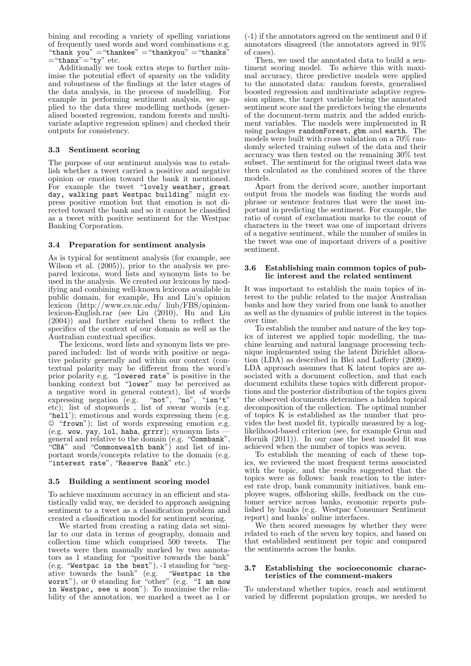bining and recoding a variety of spelling variations of frequently used words and word combinations e.g. "thank you" = "thankee" = "thankyou" = "thanks"  $=$ "thanx" $=$ "ty" etc.

Additionally we took extra steps to further minimise the potential effect of sparsity on the validity and robustness of the findings at the later stages of the data analysis, in the process of modelling. For example in performing sentiment analysis, we applied to the data three modelling methods (generalised boosted regression, random forests and multivariate adaptive regression splines) and checked their outputs for consistency.

## 3.3 Sentiment scoring

The purpose of our sentiment analysis was to establish whether a tweet carried a positive and negative opinion or emotion toward the bank it mentioned. For example the tweet "lovely weather, great day, walking past Westpac building" might express positive emotion but that emotion is not directed toward the bank and so it cannot be classified as a tweet with positive sentiment for the Westpac Banking Corporation.

#### 3.4 Preparation for sentiment analysis

As is typical for sentiment analysis (for example, see Wilson et al. (2005)), prior to the analysis we prepared lexicons, word lists and synonym lists to be used in the analysis. We created our lexicons by modifying and combining well-known lexicons available in public domain, for example, Hu and Liu's opinion lexicon (http://www.cs.uic.edu/ liub/FBS/opinionlexicon-English.rar (see Liu (2010), Hu and Liu (2004)) and further enriched them to reflect the specifics of the context of our domain as well as the Australian contextual specifics.

The lexicons, word lists and synonym lists we prepared included: list of words with positive or negative polarity generally and within our context (contextual polarity may be different from the word's prior polarity e.g. "lowered rate" is positive in the banking context but "lower" may be perceived as a negative word in general context), list of words<br>expressing negation (e.g. "not", "no", "isn't" expressing negation (e.g. etc); list of stopwords , list of swear words (e.g. "hell'); emoticons and words expressing them (e.g.  $\circ$  "frown"); list of words expressing emotion e.g. (e.g. wow, yay, lol, haha, grrrr); synonym lists general and relative to the domain (e.g. "Commbank", "CBA" and "Commonwealth bank") and list of important words/concepts relative to the domain (e.g. "interest rate", "Reserve Bank" etc.)

# 3.5 Building a sentiment scoring model

To achieve maximum accuracy in an efficient and statistically valid way, we decided to approach assigning sentiment to a tweet as a classification problem and created a classification model for sentiment scoring.

We started from creating a rating data set similar to our data in terms of geography, domain and collection time which comprised 500 tweets. The tweets were then manually marked by two annotators as 1 standing for "positive towards the bank" (e.g. "Westpac is the best"), -1 standing for "negative towards the bank" (e.g. "Westpac is the worst"), or 0 standing for "other" (e.g. "I am now in Westpac, see u soon"). To maximise the reliability of the annotation, we marked a tweet as 1 or

(-1) if the annotators agreed on the sentiment and 0 if annotators disagreed (the annotators agreed in 91% of cases).

Then, we used the annotated data to build a sentiment scoring model. To achieve this with maximal accuracy, three predictive models were applied to the annotated data: random forests, generalised boosted regression and multivariate adaptive regression splines, the target variable being the annotated sentiment score and the predictors being the elements of the document-term matrix and the added enrichment variables. The models were implemented in R using packages randomForest, gbm and earth. The models were built with cross validation on a 70% randomly selected training subset of the data and their accuracy was then tested on the remaining 30% test subset. The sentiment for the original tweet data was then calculated as the combined scores of the three models.

Apart from the derived score, another important output from the models was finding the words and phrase or sentence features that were the most important in predicting the sentiment. For example, the ratio of count of exclamation marks to the count of characters in the tweet was one of important drivers of a negative sentiment, while the number of smiles in the tweet was one of important drivers of a positive sentiment.

## 3.6 Establishing main common topics of public interest and the related sentiment

It was important to establish the main topics of interest to the public related to the major Australian banks and how they varied from one bank to another as well as the dynamics of public interest in the topics over time.

To establish the number and nature of the key topics of interest we applied topic modelling, the machine learning and natural language processing technique implemented using the latent Dirichlet allocation (LDA) as described in Blei and Lafferty (2009). LDA approach assumes that K latent topics are associated with a document collection, and that each document exhibits these topics with different proportions and the posterior distribution of the topics given the observed documents determines a hidden topical decomposition of the collection. The optimal number of topics K is established as the number that provides the best model fit, typically measured by a loglikelihood-based criterion (see, for example Grun and Hornik (2011)). In our case the best model fit was achieved when the number of topics was seven.

To establish the meaning of each of these topics, we reviewed the most frequent terms associated with the topic, and the results suggested that the topics were as follows: bank reaction to the interest rate drop, bank community initiatives, bank employee wages, offshoring skills, feedback on the customer service across banks, economic reports published by banks (e.g. Westpac Consumer Sentiment report) and banks' online interfaces.

We then scored messages by whether they were related to each of the seven key topics, and based on that established sentiment per topic and compared the sentiments across the banks.

## 3.7 Establishing the socioeconomic characteristics of the comment-makers

To understand whether topics, reach and sentiment varied by different population groups, we needed to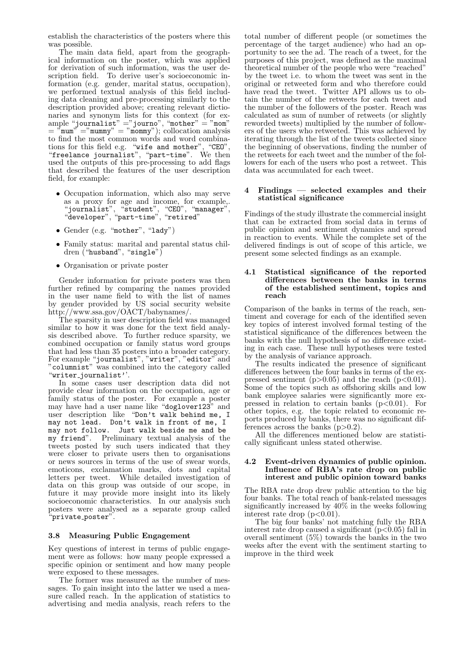establish the characteristics of the posters where this was possible.

The main data field, apart from the geographical information on the poster, which was applied for derivation of such information, was the user description field. To derive user's socioeconomic information (e.g. gender, marital status, occupation), we performed textual analysis of this field including data cleaning and pre-processing similarly to the description provided above; creating relevant dictionaries and synonym lists for this context (for ex- $\mathrm{ample}$  "journalist" = "journo", "mother" = "mom"  $=$  "mum"  $=$  "mummy"  $=$  "mommy"); collocation analysis to find the most common words and word combinations for this field e.g. "wife and mother", "CEO", "freelance journalist", "part-time". We then used the outputs of this pre-processing to add flags that described the features of the user description field, for example:

- Occupation information, which also may serve as a proxy for age and income, for example,. "journalist", "student", "CEO", "manager", "developer", "part-time", "retired"
- Gender (e.g. "mother", "lady")
- Family status: marital and parental status children ("husband", "single")
- Organisation or private poster

Gender information for private posters was then further refined by comparing the names provided in the user name field to with the list of names by gender provided by US social security website http://www.ssa.gov/OACT/babynames/.

The sparsity in user description field was managed similar to how it was done for the text field analysis described above. To further reduce sparsity, we combined occupation or family status word groups that had less than 35 posters into a broader category. For example "journalist", "writer", "editor" and "columnist" was combined into the category called "writer journalist''.

In some cases user description data did not provide clear information on the occupation, age or family status of the poster. For example a poster may have had a user name like "doglover123" and user description like "Don't walk behind me, I may not lead. Don't walk in front of me, I may not follow. Just walk beside me and be my friend". Preliminary textual analysis of the tweets posted by such users indicated that they were closer to private users then to organisations or news sources in terms of the use of swear words, emoticons, exclamation marks, dots and capital letters per tweet. While detailed investigation of data on this group was outside of our scope, in future it may provide more insight into its likely socioeconomic characteristics. In our analysis such posters were analysed as a separate group called "private\_poster".

## 3.8 Measuring Public Engagement

Key questions of interest in terms of public engagement were as follows: how many people expressed a specific opinion or sentiment and how many people were exposed to these messages.

The former was measured as the number of messages. To gain insight into the latter we used a measure called reach. In the application of statistics to advertising and media analysis, reach refers to the total number of different people (or sometimes the percentage of the target audience) who had an opportunity to see the ad. The reach of a tweet, for the purposes of this project, was defined as the maximal theoretical number of the people who were "reached" by the tweet i.e. to whom the tweet was sent in the original or retweeted form and who therefore could have read the tweet. Twitter API allows us to obtain the number of the retweets for each tweet and the number of the followers of the poster. Reach was calculated as sum of number of retweets (or slightly reworded tweets) multiplied by the number of followers of the users who retweeted. This was achieved by iterating through the list of the tweets collected since the beginning of observations, finding the number of the retweets for each tweet and the number of the followers for each of the users who post a retweet. This data was accumulated for each tweet.

#### $Findings$  — selected examples and their statistical significance

Findings of the study illustrate the commercial insight that can be extracted from social data in terms of public opinion and sentiment dynamics and spread in reaction to events. While the complete set of the delivered findings is out of scope of this article, we present some selected findings as an example.

#### 4.1 Statistical significance of the reported differences between the banks in terms of the established sentiment, topics and reach

Comparison of the banks in terms of the reach, sentiment and coverage for each of the identified seven key topics of interest involved formal testing of the statistical significance of the differences between the banks with the null hypothesis of no difference existing in each case. These null hypotheses were tested by the analysis of variance approach.

The results indicated the presence of significant differences between the four banks in terms of the expressed sentiment ( $p > 0.05$ ) and the reach ( $p < 0.01$ ). Some of the topics such as offshoring skills and low bank employee salaries were significantly more expressed in relation to certain banks  $(p<0.01)$ . For other topics, e.g. the topic related to economic reports produced by banks, there was no significant differences across the banks  $(p>0.2)$ .

All the differences mentioned below are statistically significant unless stated otherwise.

#### 4.2 Event-driven dynamics of public opinion. Influence of RBA's rate drop on public interest and public opinion toward banks

The RBA rate drop drew public attention to the big four banks. The total reach of bank-related messages significantly increased by 40% in the weeks following interest rate drop  $(p<0.01)$ .

The big four banks' not matching fully the RBA interest rate drop caused a significant  $(p<0.05)$  fall in overall sentiment (5%) towards the banks in the two weeks after the event with the sentiment starting to improve in the third week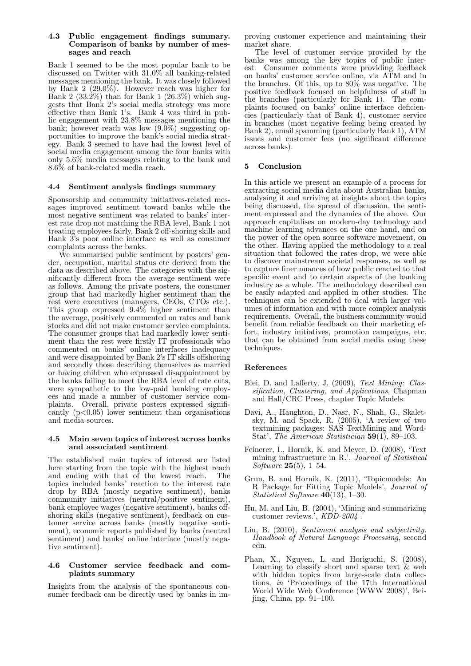#### 4.3 Public engagement findings summary. Comparison of banks by number of messages and reach

Bank 1 seemed to be the most popular bank to be discussed on Twitter with 31.0% all banking-related messages mentioning the bank. It was closely followed by Bank 2 (29.0%). However reach was higher for Bank 2 (33.2%) than for Bank 1 (26.3%) which suggests that Bank 2's social media strategy was more effective than Bank 1's. Bank 4 was third in public engagement with 23.8% messages mentioning the bank; however reach was low  $(9.0\%)$  suggesting opportunities to improve the bank's social media strategy. Bank 3 seemed to have had the lowest level of social media engagement among the four banks with only 5.6% media messages relating to the bank and 8.6% of bank-related media reach.

# 4.4 Sentiment analysis findings summary

Sponsorship and community initiatives-related messages improved sentiment toward banks while the most negative sentiment was related to banks' interest rate drop not matching the RBA level, Bank 1 not treating employees fairly, Bank 2 off-shoring skills and Bank 3's poor online interface as well as consumer complaints across the banks.

We summarised public sentiment by posters' gender, occupation, marital status etc derived from the data as described above. The categories with the significantly different from the average sentiment were as follows. Among the private posters, the consumer group that had markedly higher sentiment than the rest were executives (managers, CEOs, CTOs etc.). This group expressed 9.4% higher sentiment than the average, positively commented on rates and bank stocks and did not make customer service complaints. The consumer groups that had markedly lower sentiment than the rest were firstly IT professionals who commented on banks' online interfaces inadequacy and were disappointed by Bank 2's IT skills offshoring and secondly those describing themselves as married or having children who expressed disappointment by the banks failing to meet the RBA level of rate cuts, were sympathetic to the low-paid banking employees and made a number of customer service complaints. Overall, private posters expressed significantly  $(p<0.05)$  lower sentiment than organisations and media sources.

#### 4.5 Main seven topics of interest across banks and associated sentiment

The established main topics of interest are listed here starting from the topic with the highest reach and ending with that of the lowest reach. The topics included banks' reaction to the interest rate drop by RBA (mostly negative sentiment), banks community initiatives (neutral/positive sentiment), bank employee wages (negative sentiment), banks offshoring skills (negative sentiment), feedback on customer service across banks (mostly negative sentiment), economic reports published by banks (neutral sentiment) and banks' online interface (mostly negative sentiment).

#### 4.6 Customer service feedback and complaints summary

Insights from the analysis of the spontaneous consumer feedback can be directly used by banks in improving customer experience and maintaining their market share.

The level of customer service provided by the banks was among the key topics of public interest. Consumer comments were providing feedback on banks' customer service online, via ATM and in the branches. Of this, up to 80% was negative. The positive feedback focused on helpfulness of staff in the branches (particularly for Bank 1). The complaints focused on banks' online interface deficiencies (particularly that of Bank 4), customer service in branches (most negative feeling being created by Bank 2), email spamming (particularly Bank 1), ATM issues and customer fees (no significant difference across banks).

## 5 Conclusion

In this article we present an example of a process for extracting social media data about Australian banks, analysing it and arriving at insights about the topics being discussed, the spread of discussion, the sentiment expressed and the dynamics of the above. Our approach capitalises on modern-day technology and machine learning advances on the one hand, and on the power of the open source software movement, on the other. Having applied the methodology to a real situation that followed the rates drop, we were able to discover mainstream societal responses, as well as to capture finer nuances of how public reacted to that specific event and to certain aspects of the banking industry as a whole. The methodology described can be easily adapted and applied in other studies. The techniques can be extended to deal with larger volumes of information and with more complex analysis requirements. Overall, the business community would benefit from reliable feedback on their marketing effort, industry initiatives, promotion campaigns, etc. that can be obtained from social media using these techniques.

# References

- Blei, D. and Lafferty, J. (2009), Text Mining: Classification, Clustering, and Applications, Chapman and Hall/CRC Press, chapter Topic Models.
- Davi, A., Haughton, D., Nasr, N., Shah, G., Skaletsky, M. and Spack, R. (2005), 'A review of two textmining packages: SAS TextMining and Word-Stat', The American Statistician 59(1), 89–103.
- Feinerer, I., Hornik, K. and Meyer, D. (2008), 'Text mining infrastructure in R.', Journal of Statistical Software 25(5), 1–54.
- Grun, B. and Hornik, K. (2011), 'Topicmodels: An R Package for Fitting Topic Models', Journal of *Statistical Software*  $40(13)$ , 1–30.
- Hu, M. and Liu, B. (2004), 'Mining and summarizing customer reviews.', KDD-2004 .
- Liu, B. (2010), Sentiment analysis and subjectivity. Handbook of Natural Language Processing, second edn.
- Phan, X., Nguyen, L. and Horiguchi, S. (2008), Learning to classify short and sparse text  $\&$  web with hidden topics from large-scale data collections, in 'Proceedings of the 17th International World Wide Web Conference (WWW 2008)', Beijing, China, pp. 91–100.